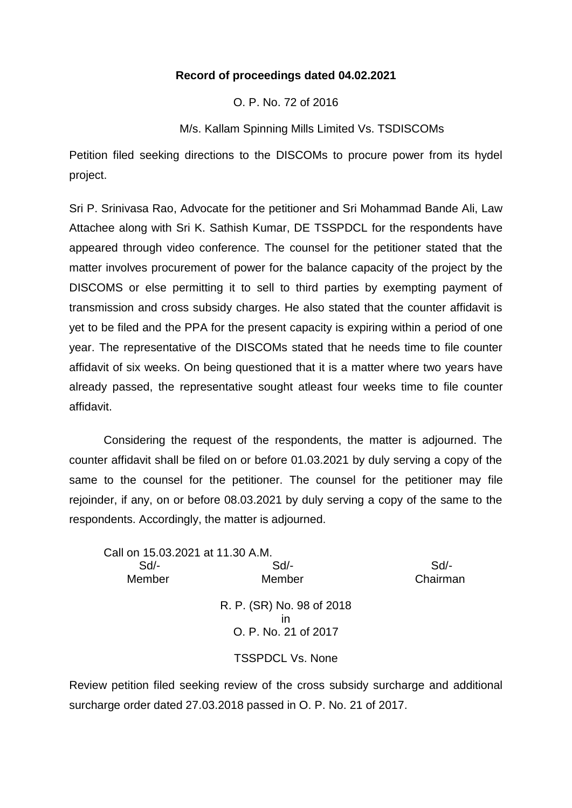## **Record of proceedings dated 04.02.2021**

O. P. No. 72 of 2016

M/s. Kallam Spinning Mills Limited Vs. TSDISCOMs

Petition filed seeking directions to the DISCOMs to procure power from its hydel project.

Sri P. Srinivasa Rao, Advocate for the petitioner and Sri Mohammad Bande Ali, Law Attachee along with Sri K. Sathish Kumar, DE TSSPDCL for the respondents have appeared through video conference. The counsel for the petitioner stated that the matter involves procurement of power for the balance capacity of the project by the DISCOMS or else permitting it to sell to third parties by exempting payment of transmission and cross subsidy charges. He also stated that the counter affidavit is yet to be filed and the PPA for the present capacity is expiring within a period of one year. The representative of the DISCOMs stated that he needs time to file counter affidavit of six weeks. On being questioned that it is a matter where two years have already passed, the representative sought atleast four weeks time to file counter affidavit.

Considering the request of the respondents, the matter is adjourned. The counter affidavit shall be filed on or before 01.03.2021 by duly serving a copy of the same to the counsel for the petitioner. The counsel for the petitioner may file rejoinder, if any, on or before 08.03.2021 by duly serving a copy of the same to the respondents. Accordingly, the matter is adjourned.

Call on 15.03.2021 at 11.30 A.M. Sd/- Sd/- Sd/- Member Member Chairman R. P. (SR) No. 98 of 2018 in O. P. No. 21 of 2017 TSSPDCL Vs. None

Review petition filed seeking review of the cross subsidy surcharge and additional surcharge order dated 27.03.2018 passed in O. P. No. 21 of 2017.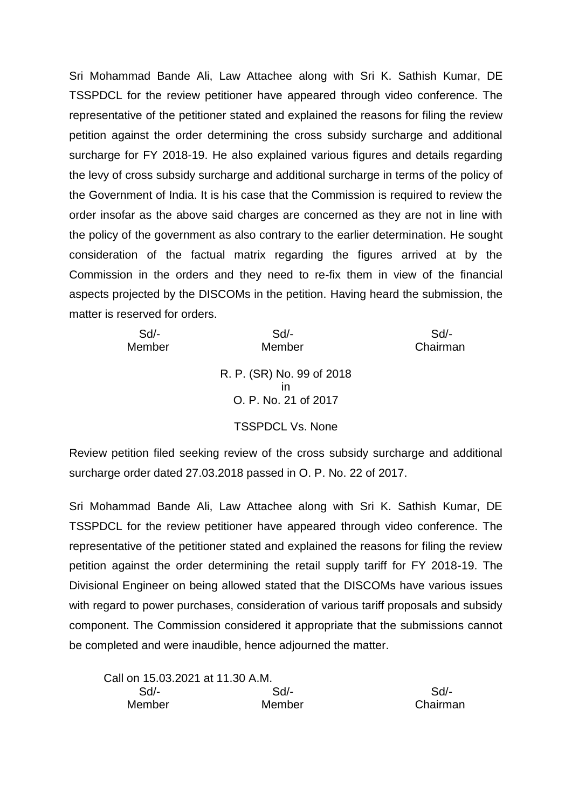Sri Mohammad Bande Ali, Law Attachee along with Sri K. Sathish Kumar, DE TSSPDCL for the review petitioner have appeared through video conference. The representative of the petitioner stated and explained the reasons for filing the review petition against the order determining the cross subsidy surcharge and additional surcharge for FY 2018-19. He also explained various figures and details regarding the levy of cross subsidy surcharge and additional surcharge in terms of the policy of the Government of India. It is his case that the Commission is required to review the order insofar as the above said charges are concerned as they are not in line with the policy of the government as also contrary to the earlier determination. He sought consideration of the factual matrix regarding the figures arrived at by the Commission in the orders and they need to re-fix them in view of the financial aspects projected by the DISCOMs in the petition. Having heard the submission, the matter is reserved for orders.

| $Sd$ - | $Sd$ -                    | Sd       |
|--------|---------------------------|----------|
| Member | Member                    | Chairman |
|        |                           |          |
|        | R. P. (SR) No. 99 of 2018 |          |
|        | ın                        |          |
|        | O. P. No. 21 of 2017      |          |
|        |                           |          |
|        | <b>TSSPDCL Vs. None</b>   |          |
|        |                           |          |

Review petition filed seeking review of the cross subsidy surcharge and additional surcharge order dated 27.03.2018 passed in O. P. No. 22 of 2017.

Sri Mohammad Bande Ali, Law Attachee along with Sri K. Sathish Kumar, DE TSSPDCL for the review petitioner have appeared through video conference. The representative of the petitioner stated and explained the reasons for filing the review petition against the order determining the retail supply tariff for FY 2018-19. The Divisional Engineer on being allowed stated that the DISCOMs have various issues with regard to power purchases, consideration of various tariff proposals and subsidy component. The Commission considered it appropriate that the submissions cannot be completed and were inaudible, hence adjourned the matter.

| Call on 15.03.2021 at 11.30 A.M. |        |          |
|----------------------------------|--------|----------|
| $Sd$ -                           | $Sd$ - | Sd       |
| Member                           | Member | Chairman |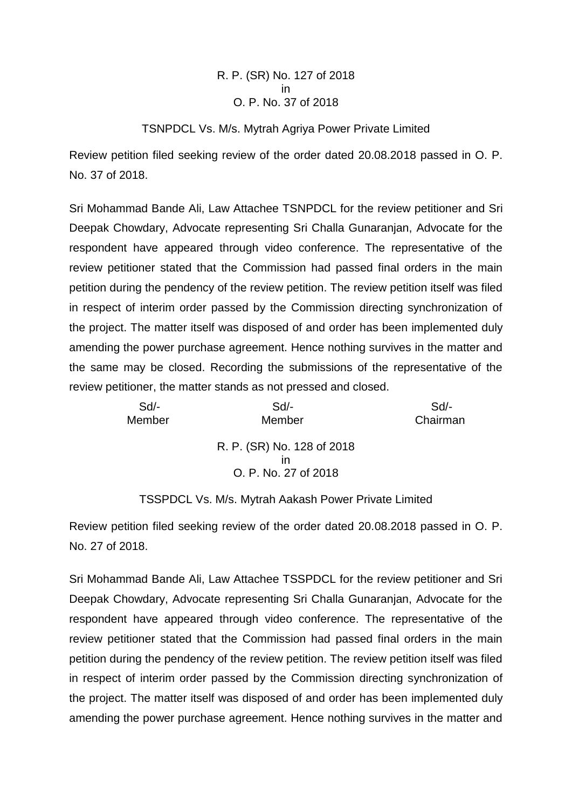## R. P. (SR) No. 127 of 2018 in O. P. No. 37 of 2018

## TSNPDCL Vs. M/s. Mytrah Agriya Power Private Limited

Review petition filed seeking review of the order dated 20.08.2018 passed in O. P. No. 37 of 2018.

Sri Mohammad Bande Ali, Law Attachee TSNPDCL for the review petitioner and Sri Deepak Chowdary, Advocate representing Sri Challa Gunaranjan, Advocate for the respondent have appeared through video conference. The representative of the review petitioner stated that the Commission had passed final orders in the main petition during the pendency of the review petition. The review petition itself was filed in respect of interim order passed by the Commission directing synchronization of the project. The matter itself was disposed of and order has been implemented duly amending the power purchase agreement. Hence nothing survives in the matter and the same may be closed. Recording the submissions of the representative of the review petitioner, the matter stands as not pressed and closed.

| Sd     | $Sd$ -                                                   | Sd       |
|--------|----------------------------------------------------------|----------|
| Member | Member                                                   | Chairman |
|        | R. P. (SR) No. 128 of 2018<br>ın<br>O. P. No. 27 of 2018 |          |

## TSSPDCL Vs. M/s. Mytrah Aakash Power Private Limited

Review petition filed seeking review of the order dated 20.08.2018 passed in O. P. No. 27 of 2018.

Sri Mohammad Bande Ali, Law Attachee TSSPDCL for the review petitioner and Sri Deepak Chowdary, Advocate representing Sri Challa Gunaranjan, Advocate for the respondent have appeared through video conference. The representative of the review petitioner stated that the Commission had passed final orders in the main petition during the pendency of the review petition. The review petition itself was filed in respect of interim order passed by the Commission directing synchronization of the project. The matter itself was disposed of and order has been implemented duly amending the power purchase agreement. Hence nothing survives in the matter and